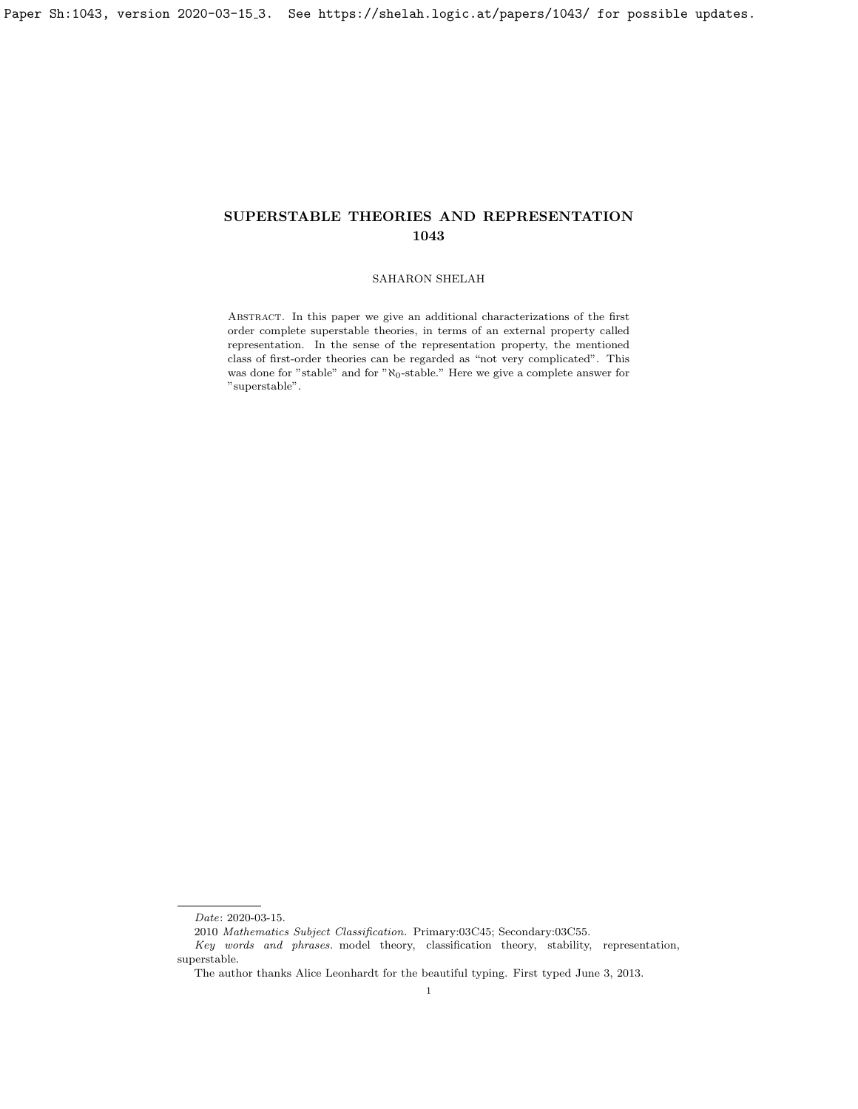# SUPERSTABLE THEORIES AND REPRESENTATION 1043

### SAHARON SHELAH

Abstract. In this paper we give an additional characterizations of the first order complete superstable theories, in terms of an external property called representation. In the sense of the representation property, the mentioned class of first-order theories can be regarded as "not very complicated". This was done for "stable" and for " $\aleph_0$ -stable." Here we give a complete answer for "superstable".

 $Date{\rm :}$  2020-03-15.

<sup>2010</sup> Mathematics Subject Classification. Primary:03C45; Secondary:03C55.

Key words and phrases. model theory, classification theory, stability, representation, superstable.

The author thanks Alice Leonhardt for the beautiful typing. First typed June 3, 2013.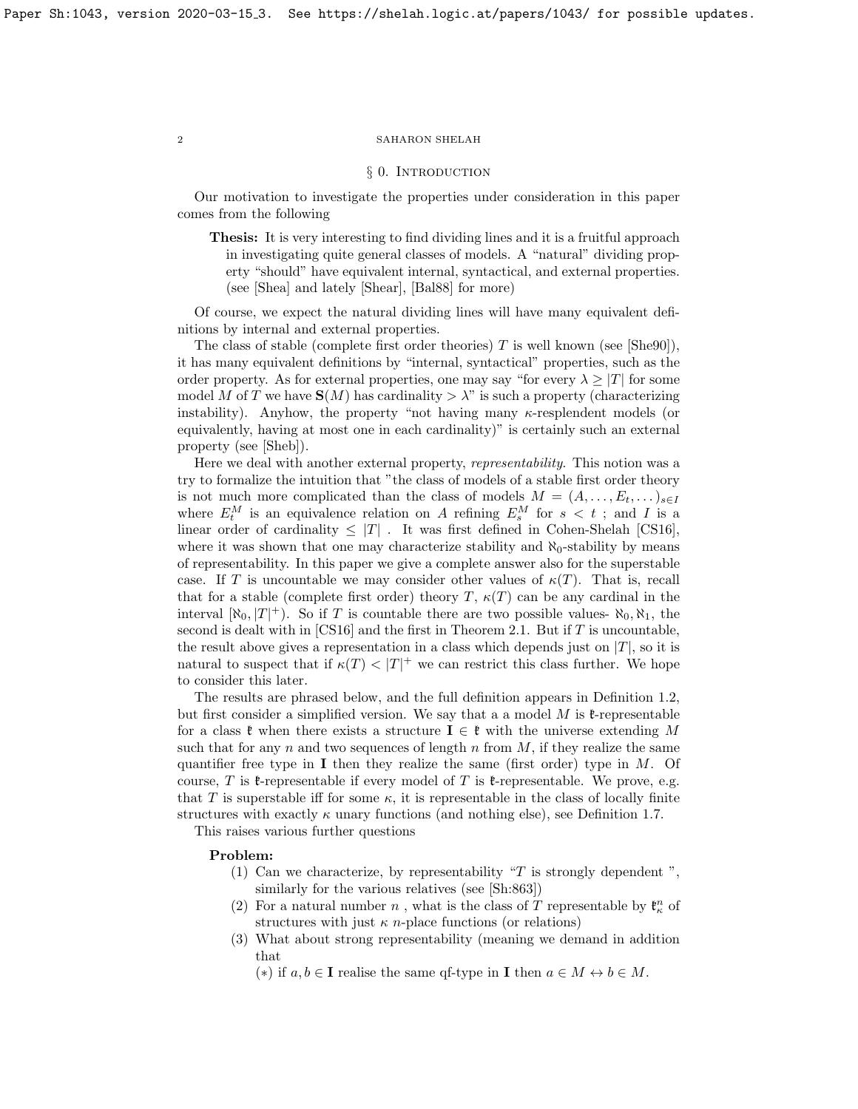### § 0. INTRODUCTION

Our motivation to investigate the properties under consideration in this paper comes from the following

Thesis: It is very interesting to find dividing lines and it is a fruitful approach in investigating quite general classes of models. A "natural" dividing property "should" have equivalent internal, syntactical, and external properties. (see [\[Shea\]](#page-9-0) and lately [\[Shear\]](#page-10-0), [\[Bal88\]](#page-9-1) for more)

Of course, we expect the natural dividing lines will have many equivalent definitions by internal and external properties.

The class of stable (complete first order theories)  $T$  is well known (see [\[She90\]](#page-10-1)), it has many equivalent definitions by "internal, syntactical" properties, such as the order property. As for external properties, one may say "for every  $\lambda \geq |T|$  for some model M of T we have  $S(M)$  has cardinality  $>\lambda$ " is such a property (characterizing instability). Anyhow, the property "not having many  $\kappa$ -resplendent models (or equivalently, having at most one in each cardinality)" is certainly such an external property (see [\[Sheb\]](#page-9-2)).

Here we deal with another external property, representability. This notion was a try to formalize the intuition that "the class of models of a stable first order theory is not much more complicated than the class of models  $M = (A, \ldots, E_t, \ldots)_{s \in I}$ where  $E_t^M$  is an equivalence relation on A refining  $E_s^M$  for  $s < t$ ; and I is a linear order of cardinality  $\leq$  |T|. It was first defined in Cohen-Shelah [\[CS16\]](#page-9-3), where it was shown that one may characterize stability and  $\aleph_0$ -stability by means of representability. In this paper we give a complete answer also for the superstable case. If T is uncountable we may consider other values of  $\kappa(T)$ . That is, recall that for a stable (complete first order) theory T,  $\kappa(T)$  can be any cardinal in the interval  $[\aleph_0, T]^+$ ). So if T is countable there are two possible values-  $\aleph_0, \aleph_1$ , the second is dealt with in  $[CS16]$  and the first in Theorem [2.1.](#page-4-0) But if  $T$  is uncountable, the result above gives a representation in a class which depends just on  $|T|$ , so it is natural to suspect that if  $\kappa(T) < |T|^+$  we can restrict this class further. We hope to consider this later.

The results are phrased below, and the full definition appears in Definition [1.2,](#page-3-0) but first consider a simplified version. We say that a a model  $M$  is  $\ell$ -representable for a class  $\mathfrak{k}$  when there exists a structure  $\mathbf{I} \in \mathfrak{k}$  with the universe extending M such that for any n and two sequences of length n from  $M$ , if they realize the same quantifier free type in **I** then they realize the same (first order) type in  $M$ . Of course, T is  $\ell$ -representable if every model of T is  $\ell$ -representable. We prove, e.g. that T is superstable iff for some  $\kappa$ , it is representable in the class of locally finite structures with exactly  $\kappa$  unary functions (and nothing else), see Definition [1.7.](#page-4-1)

This raises various further questions

### Problem:

- (1) Can we characterize, by representability "T is strongly dependent", similarly for the various relatives (see [Sh:863])
- (2) For a natural number  $n$  , what is the class of  $T$  representable by  $\mathfrak{k}_\kappa^n$  of structures with just  $\kappa$  *n*-place functions (or relations)
- (3) What about strong representability (meaning we demand in addition that

(\*) if  $a, b \in I$  realise the same qf-type in I then  $a \in M \leftrightarrow b \in M$ .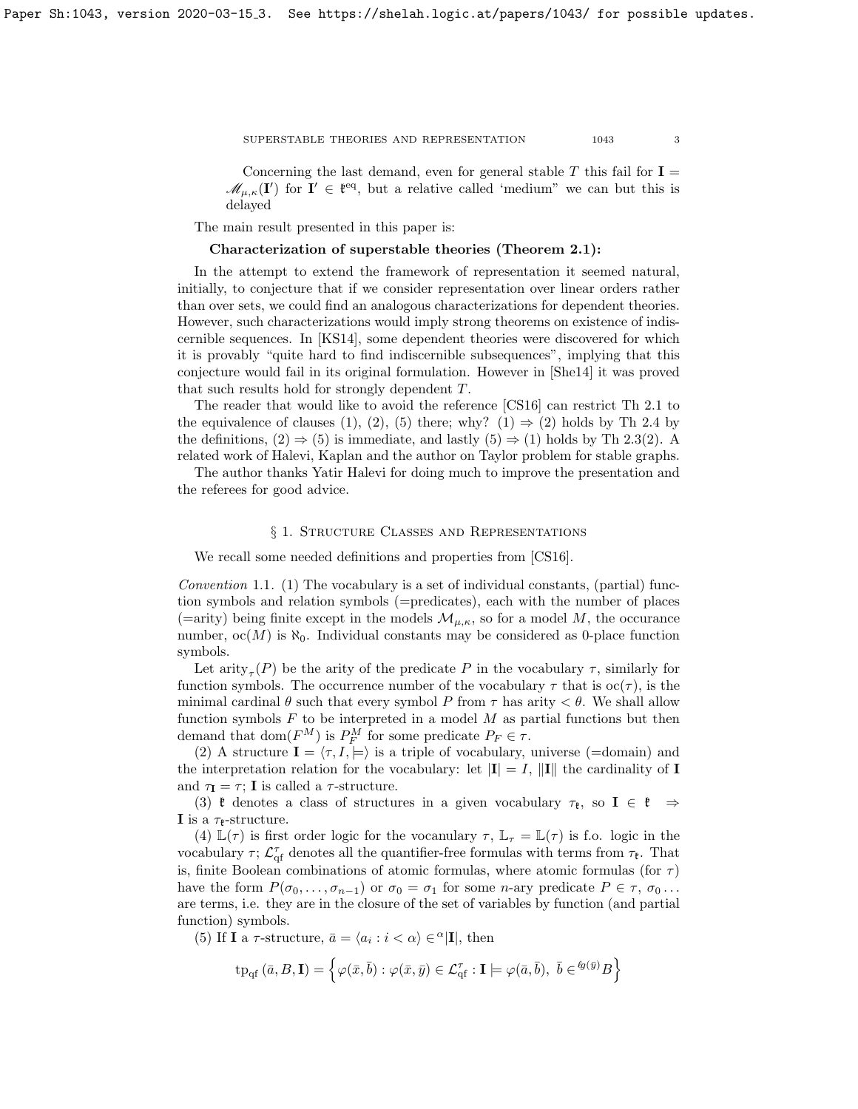#### ${\large\bf SUPERS TABLE\hspace{1em} THEORIES\hspace{1em} AND\hspace{1em} REPRESENTATION} {\large\bf \hspace{1em} 1043 \hspace{1em} 3}$

Concerning the last demand, even for general stable  $T$  this fail for  $I =$  $\mathscr{M}_{\mu,\kappa}(\mathbf{I}')$  for  $\mathbf{I}' \in \mathfrak{k}^{eq}$ , but a relative called 'medium" we can but this is delayed

The main result presented in this paper is:

### Characterization of superstable theories (Theorem [2.1\)](#page-4-0):

In the attempt to extend the framework of representation it seemed natural, initially, to conjecture that if we consider representation over linear orders rather than over sets, we could find an analogous characterizations for dependent theories. However, such characterizations would imply strong theorems on existence of indiscernible sequences. In [\[KS14\]](#page-9-4), some dependent theories were discovered for which it is provably "quite hard to find indiscernible subsequences", implying that this conjecture would fail in its original formulation. However in [\[She14\]](#page-10-2) it was proved that such results hold for strongly dependent T.

The reader that would like to avoid the reference [\[CS16\]](#page-9-3) can restrict Th [2.1](#page-4-0) to the equivalence of clauses (1), (2), (5) there; why? (1)  $\Rightarrow$  (2) holds by Th [2.4](#page-6-0) by the definitions,  $(2) \Rightarrow (5)$  is immediate, and lastly  $(5) \Rightarrow (1)$  holds by Th [2.3\(](#page-5-0)2). A related work of Halevi, Kaplan and the author on Taylor problem for stable graphs.

The author thanks Yatir Halevi for doing much to improve the presentation and the referees for good advice.

## § 1. Structure Classes and Representations

We recall some needed definitions and properties from  $|CS16|$ .

Convention 1.1.  $(1)$  The vocabulary is a set of individual constants, (partial) function symbols and relation symbols (=predicates), each with the number of places (=arity) being finite except in the models  $\mathcal{M}_{\mu,\kappa}$ , so for a model M, the occurance number,  $oc(M)$  is  $\aleph_0$ . Individual constants may be considered as 0-place function symbols.

Let  $\text{arity}_{\tau}(P)$  be the arity of the predicate P in the vocabulary  $\tau$ , similarly for function symbols. The occurrence number of the vocabulary  $\tau$  that is  $oc(\tau)$ , is the minimal cardinal  $\theta$  such that every symbol P from  $\tau$  has arity  $\lt \theta$ . We shall allow function symbols  $F$  to be interpreted in a model  $M$  as partial functions but then demand that  $dom(F^M)$  is  $P_F^M$  for some predicate  $P_F \in \tau$ .

(2) A structure  $I = \langle \tau, I \rangle \models$  is a triple of vocabulary, universe (=domain) and the interpretation relation for the vocabulary: let  $|\mathbf{I}| = I$ ,  $\|\mathbf{I}\|$  the cardinality of **I** and  $\tau_{\mathbf{I}} = \tau$ ; **I** is called a  $\tau$ -structure.

(3)  $\mathfrak k$  denotes a class of structures in a given vocabulary  $\tau_{\mathfrak k}$ , so  $\mathbf{I} \in \mathfrak k \Rightarrow$ I is a  $\tau_{\text{P}}$ -structure.

(4)  $\mathbb{L}(\tau)$  is first order logic for the vocanulary  $\tau$ ,  $\mathbb{L}_{\tau} = \mathbb{L}(\tau)$  is f.o. logic in the vocabulary  $\tau$ ;  $\mathcal{L}_{\text{qf}}^{\tau}$  denotes all the quantifier-free formulas with terms from  $\tau_{\ell}$ . That is, finite Boolean combinations of atomic formulas, where atomic formulas (for  $\tau$ ) have the form  $P(\sigma_0, \ldots, \sigma_{n-1})$  or  $\sigma_0 = \sigma_1$  for some *n*-ary predicate  $P \in \tau$ ,  $\sigma_0 \ldots$ are terms, i.e. they are in the closure of the set of variables by function (and partial function) symbols.

(5) If **I** a  $\tau$ -structure,  $\bar{a} = \langle a_i : i \langle \alpha \rangle \in \alpha | \mathbf{I} |$ , then

$$
\mathrm{tp}_{\mathrm{qf}}\left(\bar{a},B,\mathbf{I}\right) = \left\{\varphi(\bar{x},\bar{b}) : \varphi(\bar{x},\bar{y}) \in \mathcal{L}_{\mathrm{qf}}^{\tau} : \mathbf{I} \models \varphi(\bar{a},\bar{b}), \ \bar{b} \in^{\ell g(\bar{y})} B\right\}
$$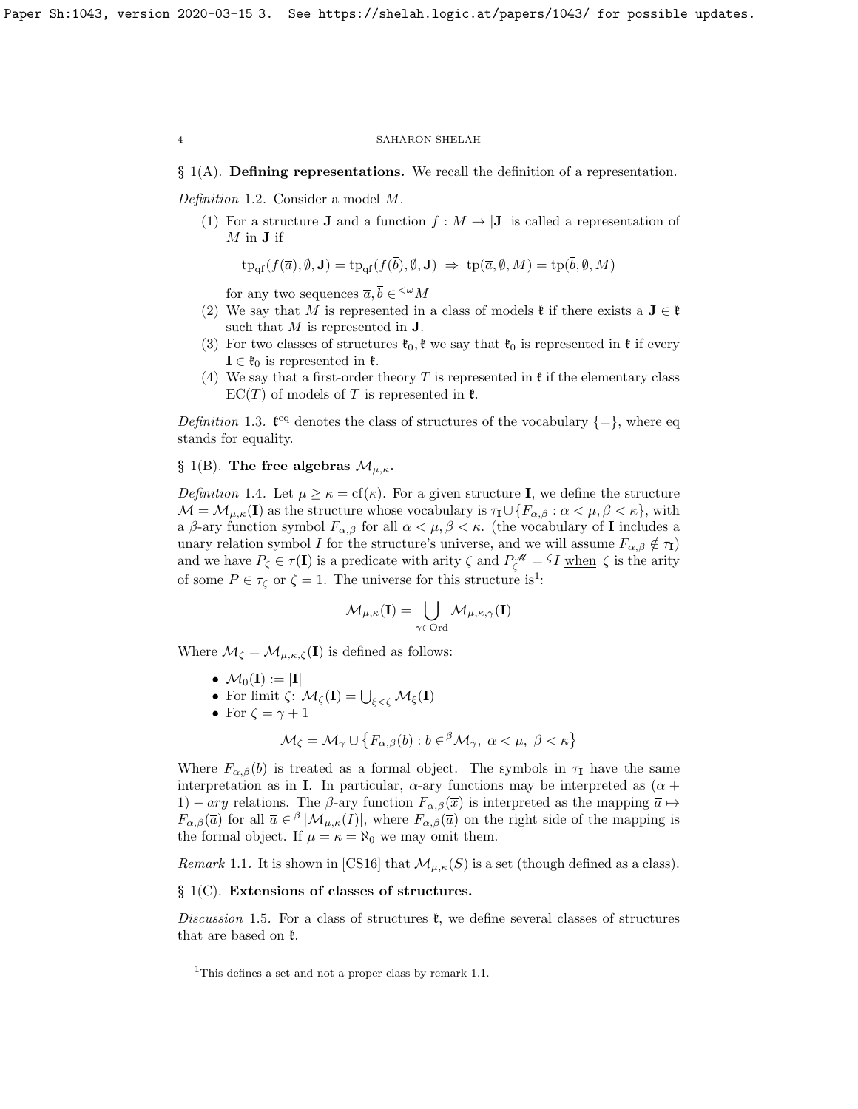### § 1(A). Defining representations. We recall the definition of a representation.

<span id="page-3-0"></span>Definition 1.2. Consider a model M.

(1) For a structure **J** and a function  $f : M \to |J|$  is called a representation of  $M$  in  $J$  if

$$
\text{tp}_{\text{qf}}(f(\overline{a}), \emptyset, \mathbf{J}) = \text{tp}_{\text{qf}}(f(\overline{b}), \emptyset, \mathbf{J}) \implies \text{tp}(\overline{a}, \emptyset, M) = \text{tp}(\overline{b}, \emptyset, M)
$$

for any two sequences  $\overline{a}, \overline{b} \in \leq^{\omega} M$ 

- (2) We say that M is represented in a class of models  $\mathfrak{k}$  if there exists a  $J \in \mathfrak{k}$ such that  $M$  is represented in  $J$ .
- (3) For two classes of structures  $\mathfrak{k}_0, \mathfrak{k}$  we say that  $\mathfrak{k}_0$  is represented in  $\mathfrak{k}$  if every  $I \in \mathfrak{k}_0$  is represented in  $\mathfrak{k}$ .
- (4) We say that a first-order theory T is represented in  $\mathfrak k$  if the elementary class  $EC(T)$  of models of T is represented in  $\mathfrak{k}$ .

Definition 1.3.  $\mathfrak{k}^{\text{eq}}$  denotes the class of structures of the vocabulary  $\{=\}$ , where eq stands for equality.

## § 1(B). The free algebras  $\mathcal{M}_{\mu,\kappa}$ .

<span id="page-3-3"></span>Definition 1.4. Let  $\mu \geq \kappa = \text{cf}(\kappa)$ . For a given structure I, we define the structure  $\mathcal{M} = \mathcal{M}_{\mu,\kappa}(\mathbf{I})$  as the structure whose vocabulary is  $\tau_{\mathbf{I}} \cup \{F_{\alpha,\beta} : \alpha < \mu, \beta < \kappa\}$ , with a β-ary function symbol  $F_{\alpha,\beta}$  for all  $\alpha < \mu, \beta < \kappa$ . (the vocabulary of **I** includes a unary relation symbol I for the structure's universe, and we will assume  $F_{\alpha,\beta} \notin \tau_{\textbf{I}}$ ) and we have  $P_{\zeta} \in \tau(I)$  is a predicate with arity  $\zeta$  and  $P_{\zeta}^{\mathscr{M}} = {}^{\zeta}I$  when  $\zeta$  is the arity of some  $P \in \tau_{\zeta}$  or  $\zeta = 1$  $\zeta = 1$ . The universe for this structure is<sup>1</sup>:

$$
\mathcal{M}_{\mu,\kappa}(\mathbf{I}) = \bigcup_{\gamma \in \mathrm{Ord}} \mathcal{M}_{\mu,\kappa,\gamma}(\mathbf{I})
$$

Where  $\mathcal{M}_{\zeta} = \mathcal{M}_{\mu,\kappa,\zeta}(\mathbf{I})$  is defined as follows:

- $\mathcal{M}_0(I) := |I|$
- For limit  $\zeta: \mathcal{M}_{\zeta}(\mathbf{I}) = \bigcup_{\xi < \zeta} \mathcal{M}_{\xi}(\mathbf{I})$
- For  $\zeta = \gamma + 1$

$$
\mathcal{M}_{\zeta} = \mathcal{M}_{\gamma} \cup \{ F_{\alpha,\beta}(\overline{b}) : \overline{b} \in \,^{\beta} \mathcal{M}_{\gamma}, \ \alpha < \mu, \ \beta < \kappa \}
$$

Where  $F_{\alpha,\beta}(\overline{b})$  is treated as a formal object. The symbols in  $\tau_I$  have the same interpretation as in I. In particular,  $\alpha$ -ary functions may be interpreted as  $(\alpha +$ 1) – ary relations. The  $\beta$ -ary function  $F_{\alpha,\beta}(\overline{x})$  is interpreted as the mapping  $\overline{a} \mapsto$  $F_{\alpha,\beta}(\overline{a})$  for all  $\overline{a} \in \beta |M_{\mu,\kappa}(I)|$ , where  $F_{\alpha,\beta}(\overline{a})$  on the right side of the mapping is the formal object. If  $\mu = \kappa = \aleph_0$  we may omit them.

<span id="page-3-2"></span>Remark 1.1. It is shown in [\[CS16\]](#page-9-3) that  $\mathcal{M}_{\mu,\kappa}(S)$  is a set (though defined as a class).

# $\S$  1(C). Extensions of classes of structures.

Discussion 1.5. For a class of structures  $\mathfrak{k}$ , we define several classes of structures that are based on  $\mathfrak{k}$ .

<span id="page-3-1"></span><sup>&</sup>lt;sup>1</sup>This defines a set and not a proper class by remark [1.1.](#page-3-2)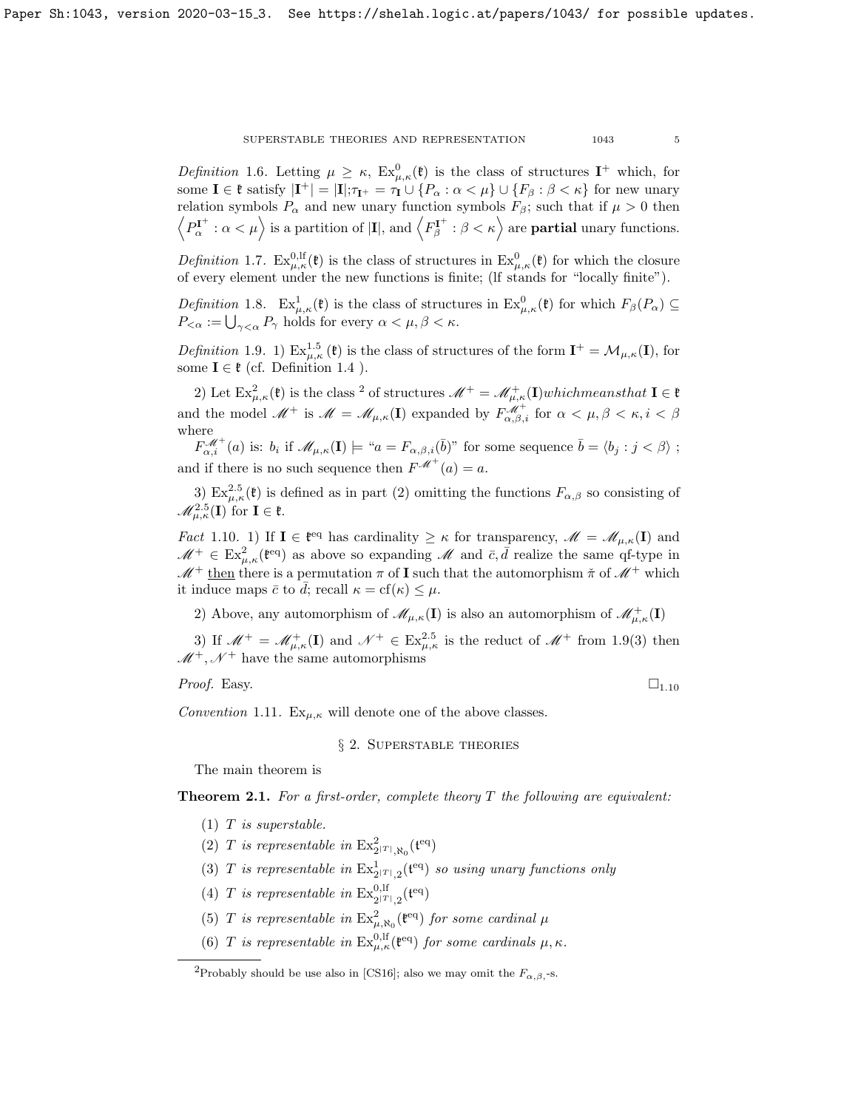SUPERSTABLE THEORIES AND REPRESENTATION 1043 5

Definition 1.6. Letting  $\mu \geq \kappa$ ,  $Ex_{\mu,\kappa}^{0}(\mathfrak{k})$  is the class of structures  $I^{+}$  which, for some  $I \in \mathfrak{k}$  satisfy  $|I^+| = |I|; \tau_{I^+} = \tau_I \cup \{P_\alpha : \alpha < \mu\} \cup \{F_\beta : \beta < \kappa\}$  for new unary relation symbols  $P_{\alpha}$  and new unary function symbols  $F_{\beta}$ ; such that if  $\mu > 0$  then  $\left\langle P^{\mathbf{I}^+}_{\alpha}:\alpha<\mu\right\rangle$  is a partition of  $|\mathbf{I}|$ , and  $\left\langle F^{\mathbf{I}^+}_{\beta}:\beta<\kappa\right\rangle$  are **partial** unary functions.

<span id="page-4-1"></span>Definition 1.7.  $\text{Ex}_{\mu,\kappa}^{0,\text{lf}}(\mathfrak{k})$  is the class of structures in  $\text{Ex}_{\mu,\kappa}^{0}(\mathfrak{k})$  for which the closure of every element under the new functions is finite; (lf stands for "locally finite").

Definition 1.8.  $\operatorname{Ex}_{\mu,\kappa}^1(\mathfrak{k})$  is the class of structures in  $\operatorname{Ex}_{\mu,\kappa}^0(\mathfrak{k})$  for which  $F_\beta(P_\alpha) \subseteq$  $P_{<\alpha} := \bigcup_{\gamma < \alpha} P_{\gamma}$  holds for every  $\alpha < \mu, \beta < \kappa$ .

<span id="page-4-3"></span>Definition 1.9. 1)  $\text{Ex}_{\mu,\kappa}^{1.5}(\mathfrak{k})$  is the class of structures of the form  $\mathbf{I}^+ = \mathcal{M}_{\mu,\kappa}(\mathbf{I})$ , for some  $I \in \mathfrak{k}$  (cf. Definition [1.4](#page-3-3) ).

[2](#page-4-2)) Let  $\operatorname{Ex}_{\mu,\kappa}^2(\mathfrak{k})$  is the class <sup>2</sup> of structures  $\mathscr{M}^+=\mathscr{M}^+_{\mu,\kappa}(\mathbf{I})$ whichmeansthat  $\mathbf{I}\in\mathfrak{k}$ and the model  $\mathscr{M}^+$  is  $\mathscr{M} = \mathscr{M}_{\mu,\kappa}(\mathbf{I})$  expanded by  $F^{\mathscr{M}^+}_{\alpha,\beta,i}$  for  $\alpha < \mu, \beta < \kappa, i < \beta$ where

 $F^{\mathscr{M}^+}_{\alpha,i}(a)$  is:  $b_i$  if  $\mathscr{M}_{\mu,\kappa}(\mathbf{I}) \models \text{``} a = F_{\alpha,\beta,i}(\bar{b})$ " for some sequence  $\bar{b} = \langle b_j : j < \beta \rangle$ ; and if there is no such sequence then  $F^{\mathcal{M}^+}(a) = a$ .

3)  $\text{Ex}_{\mu,\kappa}^{2.5}(\mathfrak{k})$  is defined as in part (2) omitting the functions  $F_{\alpha,\beta}$  so consisting of  $\mathscr{M}^{2.5}_{\mu,\kappa}(\mathbf{I})$  for  $\mathbf{I} \in \mathfrak{k}$ .

<span id="page-4-4"></span>*Fact* 1.10. 1) If  $I \in \mathfrak{k}^{eq}$  has cardinality  $\geq \kappa$  for transparency,  $\mathscr{M} = \mathscr{M}_{\mu,\kappa}(I)$  and  $\mathscr{M}^+ \in \text{Ex}_{\mu,\kappa}^2(\mathfrak{k}^{eq})$  as above so expanding  $\mathscr{M}$  and  $\bar{c}, \bar{d}$  realize the same qf-type in  $\mathcal{M}^+$  then there is a permutation  $\pi$  of **I** such that the automorphism  $\check{\pi}$  of  $\mathcal{M}^+$  which it induce maps  $\bar{c}$  to d; recall  $\kappa = \text{cf}(\kappa) \leq \mu$ .

2) Above, any automorphism of  $\mathscr{M}_{\mu,\kappa}(\mathbf{I})$  is also an automorphism of  $\mathscr{M}^+_{\mu,\kappa}(\mathbf{I})$ 

3) If  $\mathscr{M}^+ = \mathscr{M}^+_{\mu,\kappa}(\mathbf{I})$  and  $\mathscr{N}^+ \in \text{Ex}_{\mu,\kappa}^{2.5}$  is the reduct of  $\mathscr{M}^+$  from [1.9\(](#page-4-3)3) then  $M^+$ ,  $N^+$  have the same automorphisms

*Proof.* Easy.  $\Box$ <sub>1.[10](#page-4-4)</sub>

Convention 1.11.  $Ex_{\mu,\kappa}$  will denote one of the above classes.

# § 2. Superstable theories

The main theorem is

<span id="page-4-0"></span>**Theorem 2.1.** For a first-order, complete theory  $T$  the following are equivalent:

- $(1)$  T is superstable.
- (2) T is representable in  $\operatorname{Ex}_{2^{|T|},\aleph_0}^2({\mathfrak t}^\text{eq})$
- (3) T is representable in  $\mathrm{Ex}_{2^{|T|},2}^{1}(\mathfrak{t}^{eq})$  so using unary functions only
- (4) T is representable in  $\text{Ex}_{2|\mathcal{T}|,2}^{0,\text{lf}}(\mathfrak{t}^{\text{eq}})$
- (5) T is representable in  $\operatorname{Ex}_{\mu,\aleph_0}^2(\mathfrak{k}^{eq})$  for some cardinal  $\mu$
- (6) T is representable in  $\operatorname{Ex}_{\mu,\kappa}^{0,\operatorname{lf}}(\mathfrak{k}^{\operatorname{eq}})$  for some cardinals  $\mu,\kappa$ .

<span id="page-4-2"></span><sup>&</sup>lt;sup>2</sup>Probably should be use also in [\[CS16\]](#page-9-3); also we may omit the  $F_{\alpha,\beta}$ -s.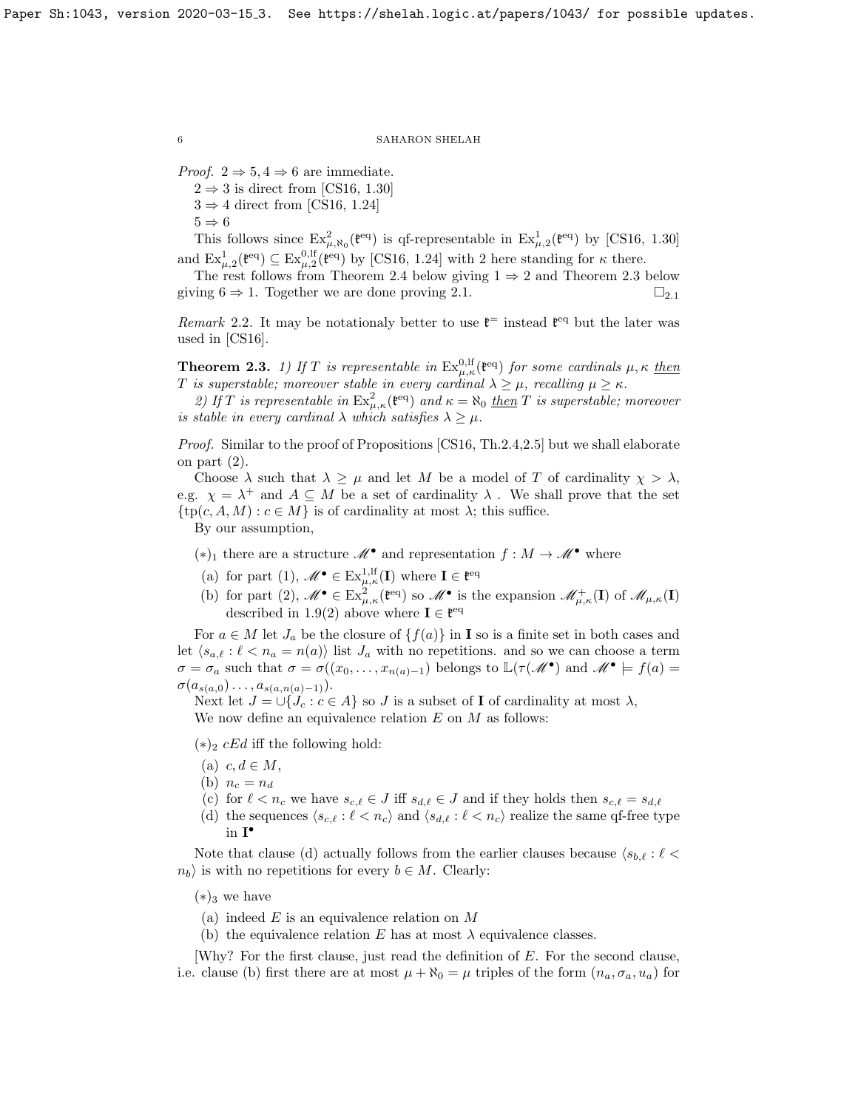*Proof.*  $2 \Rightarrow 5, 4 \Rightarrow 6$  are immediate.

 $2 \Rightarrow 3$  is direct from [\[CS16,](#page-9-3) 1.30]

 $3 \Rightarrow 4$  direct from [\[CS16,](#page-9-3) 1.24]

 $5 \Rightarrow 6$ 

This follows since  $Ex_{\mu,\aleph_0}^2(\mathfrak{k}^{eq})$  is qf-representable in  $Ex_{\mu,2}^1(\mathfrak{k}^{eq})$  by [\[CS16,](#page-9-3) 1.30] and  $\text{Ex}_{\mu,2}^1(\mathfrak{k}^{eq}) \subseteq \text{Ex}_{\mu,2}^{0,\text{lf}}(\mathfrak{k}^{eq})$  by [\[CS16,](#page-9-3) 1.24] with 2 here standing for  $\kappa$  there.

The rest follows from Theorem [2.4](#page-6-0) below giving  $1 \Rightarrow 2$  and Theorem [2.3](#page-5-0) below giving  $6 \Rightarrow 1$ . Together we are done proving [2.1.](#page-4-0)  $\square_{2,1}$  $\square_{2,1}$  $\square_{2,1}$ 

Remark 2.2. It may be notationaly better to use  $\mathfrak{k}^{\pm}$  instead  $\mathfrak{k}^{\text{eq}}$  but the later was used in [\[CS16\]](#page-9-3).

<span id="page-5-0"></span>**Theorem 2.3.** 1) If T is representable in  $Ex_{\mu,\kappa}^{0,\mathrm{lf}}(\mathfrak{k}^{\text{eq}})$  for some cardinals  $\mu,\kappa$  then T is superstable; moreover stable in every cardinal  $\lambda \geq \mu$ , recalling  $\mu \geq \kappa$ .

2) If T is representable in  $Ex_{\mu,\kappa}^2(\mathfrak{k}^{eq})$  and  $\kappa = \aleph_0$  then T is superstable; moreover is stable in every cardinal  $\lambda$  which satisfies  $\lambda \geq \mu$ .

Proof. Similar to the proof of Propositions [\[CS16,](#page-9-3) Th.2.4,2.5] but we shall elaborate on part (2).

Choose  $\lambda$  such that  $\lambda \geq \mu$  and let M be a model of T of cardinality  $\chi > \lambda$ , e.g.  $\chi = \lambda^+$  and  $A \subseteq M$  be a set of cardinality  $\lambda$ . We shall prove that the set  $\{tp(c, A, M) : c \in M\}$  is of cardinality at most  $\lambda$ ; this suffice.

By our assumption,

- $(*)_1$  there are a structure  $\mathscr{M}^{\bullet}$  and representation  $f : M \to \mathscr{M}^{\bullet}$  where
- (a) for part (1),  $\mathscr{M}^{\bullet} \in \text{Ex}_{\mu,\kappa}^{1,\text{lf}}(\mathbf{I})$  where  $\mathbf{I} \in \mathfrak{k}^{\text{eq}}$
- (b) for part (2),  $\mathscr{M}^{\bullet} \in \text{Ex}_{\mu,\kappa}^{2}(\mathfrak{k}^{eq})$  so  $\mathscr{M}^{\bullet}$  is the expansion  $\mathscr{M}_{\mu,\kappa}^{+}(\mathbf{I})$  of  $\mathscr{M}_{\mu,\kappa}(\mathbf{I})$ described in [1.9\(](#page-4-3)2) above where  $I \in \mathfrak{k}^{\text{eq}}$

For  $a \in M$  let  $J_a$  be the closure of  $\{f(a)\}\$ in **I** so is a finite set in both cases and let  $\langle s_{a,\ell} : \ell < n_a = n(a) \rangle$  list  $J_a$  with no repetitions. and so we can choose a term  $\sigma = \sigma_a$  such that  $\sigma = \sigma((x_0, \ldots, x_{n(a)-1})$  belongs to  $\mathbb{L}(\tau(\mathscr{M}^{\bullet})$  and  $\mathscr{M}^{\bullet} \models f(a) =$  $\sigma(a_{s(a,0)}..., a_{s(a,n(a)-1)}).$ 

Next let  $J = \bigcup \{J_c : c \in A\}$  so J is a subset of **I** of cardinality at most  $\lambda$ , We now define an equivalence relation  $E$  on  $M$  as follows:

 $(*)_2$  *cEd* iff the following hold:

- (a)  $c, d \in M$ ,
- (b)  $n_c = n_d$
- (c) for  $\ell < n_c$  we have  $s_{c,\ell} \in J$  iff  $s_{d,\ell} \in J$  and if they holds then  $s_{c,\ell} = s_{d,\ell}$
- (d) the sequences  $\langle s_{c,\ell} : \ell < n_c \rangle$  and  $\langle s_{d,\ell} : \ell < n_c \rangle$  realize the same qf-free type in I •

Note that clause (d) actually follows from the earlier clauses because  $\langle s_{b,\ell} : \ell \langle \rangle$  $n_b$  is with no repetitions for every  $b \in M$ . Clearly:

 $(*)_3$  we have

- (a) indeed  $E$  is an equivalence relation on  $M$
- (b) the equivalence relation E has at most  $\lambda$  equivalence classes.

[Why? For the first clause, just read the definition of E. For the second clause, i.e. clause (b) first there are at most  $\mu + \aleph_0 = \mu$  triples of the form  $(n_a, \sigma_a, u_a)$  for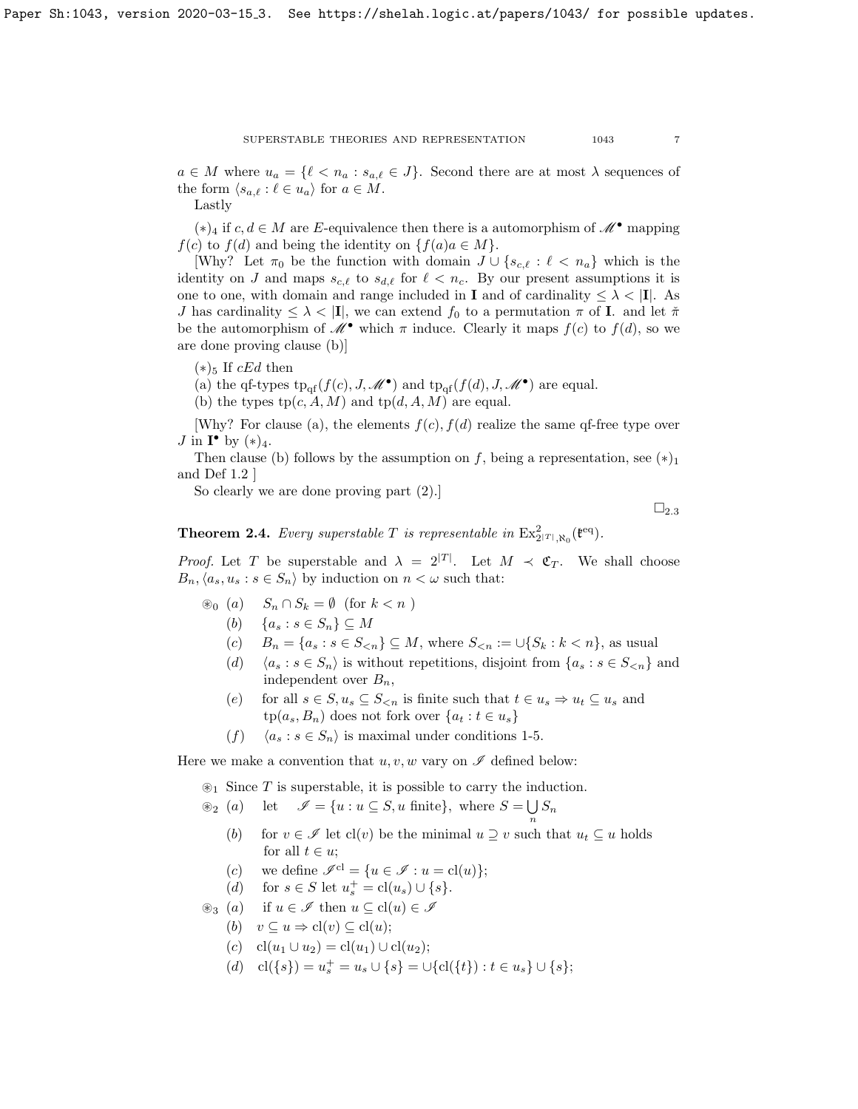SUPERSTABLE THEORIES AND REPRESENTATION 1043 7

 $a \in M$  where  $u_a = \{ \ell < n_a : s_{a,\ell} \in J \}$ . Second there are at most  $\lambda$  sequences of the form  $\langle s_{a,\ell} : \ell \in u_a \rangle$  for  $a \in M$ .

Lastly

 $(*)_4$  if  $c, d \in M$  are E-equivalence then there is a automorphism of  $\mathscr{M}^{\bullet}$  mapping  $f(c)$  to  $f(d)$  and being the identity on  $\{f(a)a \in M\}.$ 

[Why? Let  $\pi_0$  be the function with domain  $J \cup \{s_{c,\ell} : \ell < n_a\}$  which is the identity on J and maps  $s_{c,\ell}$  to  $s_{d,\ell}$  for  $\ell < n_c$ . By our present assumptions it is one to one, with domain and range included in **I** and of cardinality  $\leq \lambda < |I|$ . As J has cardinality  $\leq \lambda < |I|$ , we can extend  $f_0$  to a permutation  $\pi$  of I. and let  $\tilde{\pi}$ be the automorphism of  $\mathscr{M}^{\bullet}$  which  $\pi$  induce. Clearly it maps  $f(c)$  to  $f(d)$ , so we are done proving clause (b)]

 $(*)$ <sub>5</sub> If *cEd* then

(a) the qf-types  $tp_{\text{qf}}(f(c), J, \mathcal{M}^{\bullet})$  and  $tp_{\text{qf}}(f(d), J, \mathcal{M}^{\bullet})$  are equal.

(b) the types  $tp(c, A, M)$  and  $tp(d, A, M)$  are equal.

[Why? For clause (a), the elements  $f(c)$ ,  $f(d)$  realize the same qf-free type over  $J$  in  $\mathbf{I}^{\bullet}$  by  $(*)_4$ .

Then clause (b) follows by the assumption on f, being a representation, see  $(*)_1$ and Def [1.2](#page-3-0) ]

So clearly we are done proving part (2).]

 $\square_{2.3}$  $\square_{2.3}$  $\square_{2.3}$ 

<span id="page-6-0"></span>**Theorem 2.4.** Every superstable T is representable in  $\operatorname{Ex}_{2^{|T|},\aleph_0}^2(\mathfrak{k}^{\text{eq}})$ .

*Proof.* Let T be superstable and  $\lambda = 2^{|T|}$ . Let  $M \prec \mathfrak{C}_T$ . We shall choose  $B_n, \langle a_s, u_s : s \in S_n \rangle$  by induction on  $n < \omega$  such that:

- $\circledast_0$  (a)  $S_n \cap S_k = ∅$  (for  $k < n$ )
	- (b)  $\{a_s : s \in S_n\} \subseteq M$
	- (c)  $B_n = \{a_s : s \in S_{\le n}\} \subseteq M$ , where  $S_{\le n} := \bigcup \{S_k : k \le n\}$ , as usual
	- (d)  $\langle a_s : s \in S_n \rangle$  is without repetitions, disjoint from  $\{a_s : s \in S_{\leq n}\}\$ and independent over  $B_n$ ,
	- (e) for all  $s \in S, u_s \subseteq S_{\le n}$  is finite such that  $t \in u_s \Rightarrow u_t \subseteq u_s$  and  $tp(a_s, B_n)$  does not fork over  $\{a_t : t \in u_s\}$
	- $(f)$   $\langle a_s : s \in S_n \rangle$  is maximal under conditions 1-5.

Here we make a convention that  $u, v, w$  vary on  $\mathscr I$  defined below:

 $\mathcal{F}_1$  Since T is superstable, it is possible to carry the induction.

- $\mathscr{L}_2$  (a) let  $\mathscr{I} = \{u : u \subseteq S, u \text{ finite}\}, \text{ where } S = \bigcup S_n$ n
	- (b) for  $v \in \mathscr{I}$  let cl(v) be the minimal  $u \supseteq v$  such that  $u_t \subseteq u$  holds for all  $t \in u$ ;
	- (c) we define  $\mathscr{I}^{\text{cl}} = \{u \in \mathscr{I} : u = \text{cl}(u)\};$
	- (d) for  $s \in S$  let  $u_s^+ = \text{cl}(u_s) \cup \{s\}.$
- $\circledast_3$  (a) if  $u \in \mathscr{I}$  then  $u \subseteq cl(u) \in \mathscr{I}$ 
	- (b)  $v \subseteq u \Rightarrow cl(v) \subseteq cl(u);$
	- (c) cl(u<sub>1</sub> ∪ u<sub>2</sub>) = cl(u<sub>1</sub>) ∪ cl(u<sub>2</sub>);
	- (d)  $cl({s}) = u_s^+ = u_s \cup {s} = \bigcup {cl({t}) : t \in u_s} \cup {s};$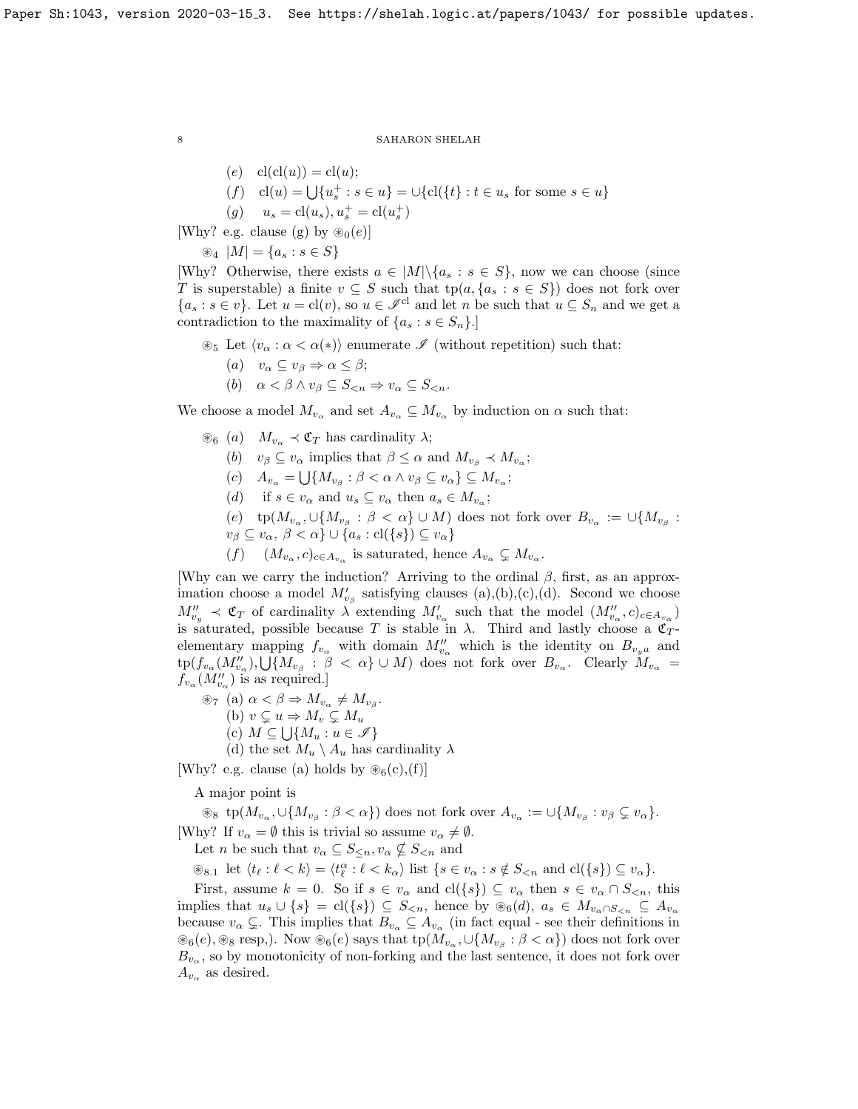(e) 
$$
cl(cl(u)) = cl(u);
$$
  
(f)  $cl(u) = \bigcup \{u_s^+ : s \in u\} = \bigcup \{cl(\{t\} : t \in u_s \text{ for some } s \in u\}$ 

(g)  $u_s = cl(u_s), u_s^+ = cl(u_s^+)$ 

[Why? e.g. clause (g) by  $\mathcal{D}_0(e)$ ]

 $\circledast_4 |M| = \{a_s : s \in S\}$ 

[Why? Otherwise, there exists  $a \in |M| \backslash \{a_s : s \in S\}$ , now we can choose (since T is superstable) a finite  $v \subseteq S$  such that  $tp(a, \{a_s : s \in S\})$  does not fork over  ${a_s : s \in v}$ . Let  $u = cl(v)$ , so  $u \in \mathcal{I}^{cl}$  and let n be such that  $u \subseteq S_n$  and we get a contradiction to the maximality of  $\{a_s : s \in S_n\}$ .

 $\mathcal{L}_5$  Let  $\langle v_\alpha : \alpha < \alpha(*) \rangle$  enumerate  $\mathcal I$  (without repetition) such that:

- (a)  $v_{\alpha} \subseteq v_{\beta} \Rightarrow \alpha \leq \beta;$
- (b)  $\alpha < \beta \wedge v_{\beta} \subseteq S_{\leq n} \Rightarrow v_{\alpha} \subseteq S_{\leq n}$ .

We choose a model  $M_{v_{\alpha}}$  and set  $A_{v_{\alpha}} \subseteq M_{v_{\alpha}}$  by induction on  $\alpha$  such that:

- $\circledast_6$  (a)  $M_{v_\alpha} \prec \mathfrak{C}_T$  has cardinality  $\lambda$ ;
	- (b)  $v_{\beta} \subseteq v_{\alpha}$  implies that  $\beta \leq \alpha$  and  $M_{v_{\beta}} \prec M_{v_{\alpha}}$ ;
	- (c)  $A_{v_{\alpha}} = \bigcup \{ M_{v_{\beta}} : \beta < \alpha \wedge v_{\beta} \subseteq v_{\alpha} \} \subseteq M_{v_{\alpha}};$
	- (d) if  $s \in v_\alpha$  and  $u_s \subseteq v_\alpha$  then  $a_s \in M_{v_\alpha}$ ;
	- $(e)$  tp $(M_{v_\alpha}, \cup \{M_{v_\beta}:\beta<\alpha\}\cup M)$  does not fork over  $B_{v_\alpha}:=\cup \{M_{v_\beta}:\beta<\alpha\}$  $v_{\beta} \subseteq v_{\alpha}, \ \beta < \alpha \} \cup \{a_s : \text{cl}(\{s\}) \subseteq v_{\alpha}\}\$
	- (f)  $(M_{v_\alpha}, c)_{c \in A_{v_\alpha}}$  is saturated, hence  $A_{v_\alpha} \subsetneq M_{v_\alpha}$ .

[Why can we carry the induction? Arriving to the ordinal  $\beta$ , first, as an approximation choose a model  $M'_{v_\beta}$  satisfying clauses (a),(b),(c),(d). Second we choose  $M''_{v_y} \prec \mathfrak{C}_T$  of cardinality  $\lambda$  extending  $M'_{v_\alpha}$  such that the model  $(M''_{v_\alpha}, c)_{c \in A_{v_\alpha}}$ is saturated, possible because T is stable in  $\lambda$ . Third and lastly choose a  $\mathfrak{C}_T$ elementary mapping  $f_{v_\alpha}$  with domain  $M_{v_\alpha}''$  which is the identity on  $B_{v_ya}$  and  $\mathrm{tp}(f_{v_\alpha}(M''_{v_\alpha}),\bigcup\{M_{v_\beta}\;:\;\beta\;<\;\alpha\}\cup M)$  does not fork over  $B_{v_\alpha}$ . Clearly  $\check M_{v_\alpha} =$  $f_{v_\alpha}(M''_{v_\alpha})$  is as required.]

- $\circledast_7$  (a)  $\alpha < \beta \Rightarrow M_{v_\alpha} \neq M_{v_\beta}$ .
	- (b)  $v \subsetneq u \Rightarrow M_v \subsetneq M_u$
	- (c)  $M \subseteq \bigcup \{M_u : u \in \mathscr{I}\}\$
	- (d) the set  $M_u \setminus A_u$  has cardinality  $\lambda$

[Why? e.g. clause (a) holds by  $\mathcal{B}_6(c)$ , (f)]

A major point is

 $\otimes_8$  tp $(M_{v_\alpha}, \cup \{M_{v_\beta} : \beta < \alpha\})$  does not fork over  $A_{v_\alpha} := \cup \{M_{v_\beta} : v_\beta \subsetneq v_\alpha\}.$ [Why? If  $v_{\alpha} = \emptyset$  this is trivial so assume  $v_{\alpha} \neq \emptyset$ .

Let *n* be such that  $v_{\alpha} \subseteq S_{\leq n}, v_{\alpha} \nsubseteq S_{\leq n}$  and

 $\mathcal{L}_{8,1}$  let  $\langle t_{\ell} : \ell < k \rangle = \langle t_{\ell}^{\alpha} : \ell < k_{\alpha} \rangle$  list  $\{s \in v_{\alpha} : s \notin S_{\leq n} \text{ and } cl(\{s\}) \subseteq v_{\alpha}\}.$ 

First, assume  $k = 0$ . So if  $s \in v_\alpha$  and  $\text{cl}(\{s\}) \subseteq v_\alpha$  then  $s \in v_\alpha \cap S_{\leq n}$ , this implies that  $u_s \cup \{s\} = cl(\{s\}) \subseteq S_{\leq n}$ , hence by  $\mathscr{B}_6(d)$ ,  $a_s \in M_{v_\alpha \cap S_{\leq n}} \subseteq A_{v_\alpha}$ because  $v_{\alpha} \subsetneq$ . This implies that  $B_{v_{\alpha}} \subseteq A_{v_{\alpha}}$  (in fact equal - see their definitions in  $\mathcal{L}_6(e), \mathcal{L}_8$  resp,). Now  $\mathcal{L}_6(e)$  says that  $tp(\tilde{M}_{v_\alpha}, \cup \{M_{v_\beta} : \beta < \alpha\})$  does not fork over  $B_{v_{\alpha}}$ , so by monotonicity of non-forking and the last sentence, it does not fork over  $A_{v_{\alpha}}$  as desired.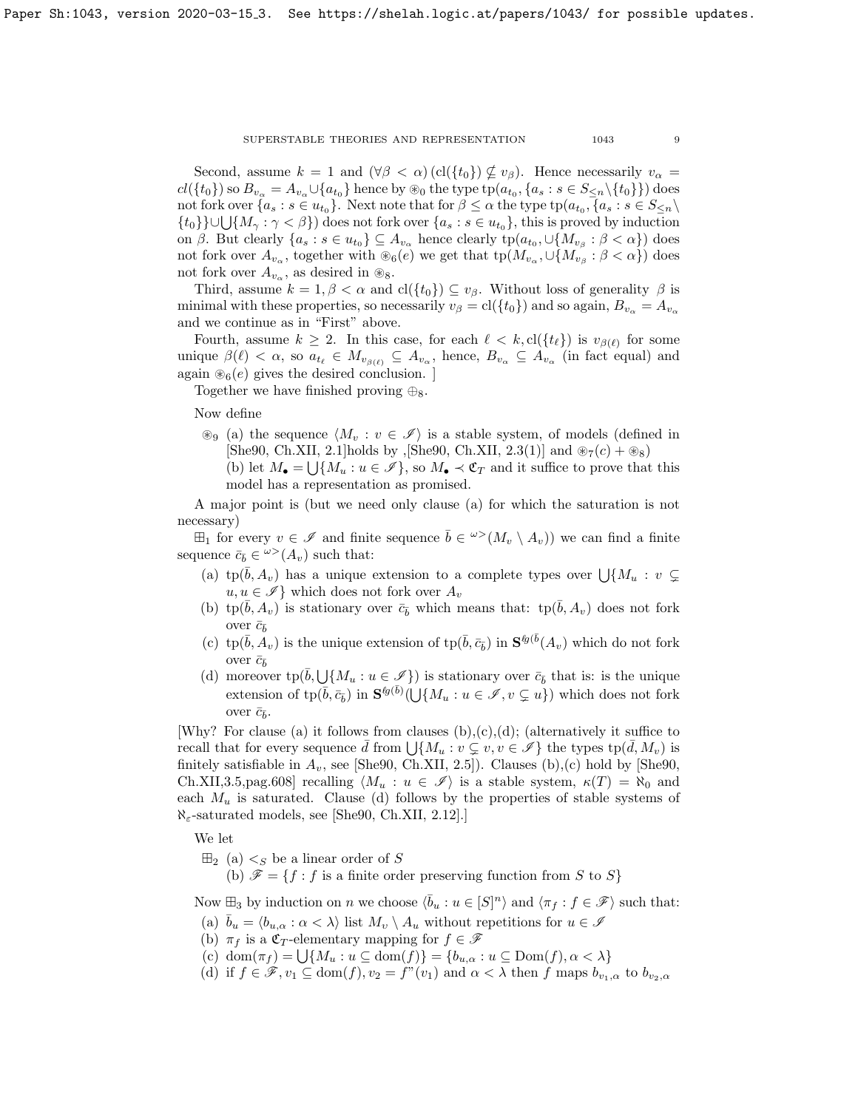#### ${\large\bf SUPERS TABLE\hspace{1em} The ORIES\hspace{1em} AND\hspace{1em} REPRESENTATION\hspace{1em} 1043\hspace{1em} 9}$

Second, assume  $k = 1$  and  $(\forall \beta < \alpha)$  (cl $({t_0}) \not\subseteq v_\beta$ ). Hence necessarily  $v_\alpha =$  $cl({t_0})$  so  $B_{v_\alpha} = A_{v_\alpha} \cup {a_{t_0}}$  hence by  $\circledast_0$  the type  $tp(a_{t_0}, {a_s : s \in S_{\leq n} \setminus {t_0}})$  does not fork over  $\{a_s : s \in u_{t_0}\}\$ . Next note that for  $\beta \leq \alpha$  the type  $tp(a_{t_0}, \{a_s : s \in S_{\leq n}\}\)$  $\{t_0\}\}\cup\bigcup\{M_\gamma:\gamma<\beta\}\$  does not fork over  $\{a_s:s\in u_{t_0}\}\$ , this is proved by induction on  $\beta$ . But clearly  $\{a_s : s \in u_{t_0}\} \subseteq A_{v_\alpha}$  hence clearly  $tp(a_{t_0}, \cup \{M_{v_\beta} : \beta < \alpha\})$  does not fork over  $A_{v_\alpha}$ , together with  $\otimes_6(e)$  we get that  $tp(M_{v_\alpha}, \cup \{M_{v_\beta} : \beta < \alpha\})$  does not fork over  $A_{v_\alpha}$ , as desired in  $\otimes_8$ .

Third, assume  $k = 1, \beta < \alpha$  and  $cl({t_0}) \subseteq v_\beta$ . Without loss of generality  $\beta$  is minimal with these properties, so necessarily  $v_{\beta} = \text{cl}(\{t_0\})$  and so again,  $B_{v_{\alpha}} = A_{v_{\alpha}}$ and we continue as in "First" above.

Fourth, assume  $k \geq 2$ . In this case, for each  $\ell < k$ , cl( $\{t_{\ell}\}\$  is  $v_{\beta(\ell)}$  for some unique  $\beta(\ell) < \alpha$ , so  $a_{t_\ell} \in M_{v_{\beta(\ell)}} \subseteq A_{v_\alpha}$ , hence,  $B_{v_\alpha} \subseteq A_{v_\alpha}$  (in fact equal) and again  $\mathcal{B}_6(e)$  gives the desired conclusion. ]

Together we have finished proving  $\oplus_8$ .

# Now define

 $\mathcal{L}_9$  (a) the sequence  $\langle M_v : v \in \mathscr{I} \rangle$  is a stable system, of models (defined in [\[She90,](#page-10-1) Ch.XII, 2.1]holds by , [She90, Ch.XII, 2.3(1)] and  $\otimes_7(c) + \otimes_8$ ] (b) let  $M_{\bullet} = \bigcup \{M_u : u \in \mathscr{I}\}\)$ , so  $M_{\bullet} \prec \mathfrak{C}_T$  and it suffice to prove that this model has a representation as promised.

A major point is (but we need only clause (a) for which the saturation is not necessary)

 $\boxplus_1$  for every  $v \in \mathscr{I}$  and finite sequence  $\overline{b} \in {}^{\omega>}(M_v \setminus A_v)$  we can find a finite sequence  $\bar{c}_{\bar{b}} \in {}^{\omega>}(A_v)$  such that:

- (a) tp( $\bar{b}$ ,  $A_v$ ) has a unique extension to a complete types over  $\bigcup \{M_u : v \subsetneq$  $u, u \in \mathscr{I}$  which does not fork over  $A_v$
- (b) tp( $\bar{b}$ , A<sub>v</sub>) is stationary over  $\bar{c}_{\bar{b}}$  which means that: tp( $\bar{b}$ , A<sub>v</sub>) does not fork over  $\bar{c}_{\bar{b}}$
- (c) tp $(\bar{b}, A_v)$  is the unique extension of tp $(\bar{b}, \bar{c}_{\bar{b}})$  in  $S^{\ell g(\bar{b}}(A_v)$  which do not fork over  $\bar{c}_{\bar{b}}$
- (d) moreover  $\text{tp}(\bar{b}, \bigcup \{M_u : u \in \mathscr{I}\})$  is stationary over  $\bar{c}_{\bar{b}}$  that is: is the unique extension of  $\text{tp}(\overline{b}, \overline{c_b})$  in  $S^{g(\overline{b})}(\bigcup \{M_u : u \in \mathscr{I}, v \subsetneq u\})$  which does not fork over  $\bar{c}_{\bar{b}}$ .

[Why? For clause (a) it follows from clauses  $(b),(c),(d)$ ; (alternatively it suffice to recall that for every sequence  $\bar{d}$  from  $\bigcup \{M_u : v \subsetneq v, v \in \mathscr{I}\}\$  the types  $tp(\bar{d}, M_v)$  is finitely satisfiable in  $A_v$ , see [\[She90,](#page-10-1) Ch.XII, 2.5]). Clauses (b),(c) hold by [She90, Ch.XII,3.5,pag.608] recalling  $\langle M_u : u \in \mathscr{I} \rangle$  is a stable system,  $\kappa(T) = \aleph_0$  and each  $M_u$  is saturated. Clause (d) follows by the properties of stable systems of  $\aleph_{\epsilon}$ -saturated models, see [\[She90,](#page-10-1) Ch.XII, 2.12].]

We let

 $\boxplus_2$  (a)  $\lt_S$  be a linear order of S

(b)  $\mathscr{F} = \{f : f$  is a finite order preserving function from S to S}

Now  $\mathbb{H}_3$  by induction on n we choose  $\langle \bar{b}_u : u \in [S]^n \rangle$  and  $\langle \pi_f : f \in \mathscr{F} \rangle$  such that:

- (a)  $\bar{b}_u = \langle b_{u,\alpha} : \alpha < \lambda \rangle$  list  $M_v \setminus A_u$  without repetitions for  $u \in \mathscr{I}$
- (b)  $\pi_f$  is a  $\mathfrak{C}_T$ -elementary mapping for  $f \in \mathscr{F}$
- (c) dom $(\pi_f) = \bigcup \{M_u : u \subseteq \text{dom}(f)\} = \{b_{u,\alpha} : u \subseteq \text{Dom}(f), \alpha < \lambda\}$
- (d) if  $f \in \mathscr{F}, v_1 \subseteq \text{dom}(f), v_2 = f''(v_1)$  and  $\alpha < \lambda$  then f maps  $b_{v_1,\alpha}$  to  $b_{v_2,\alpha}$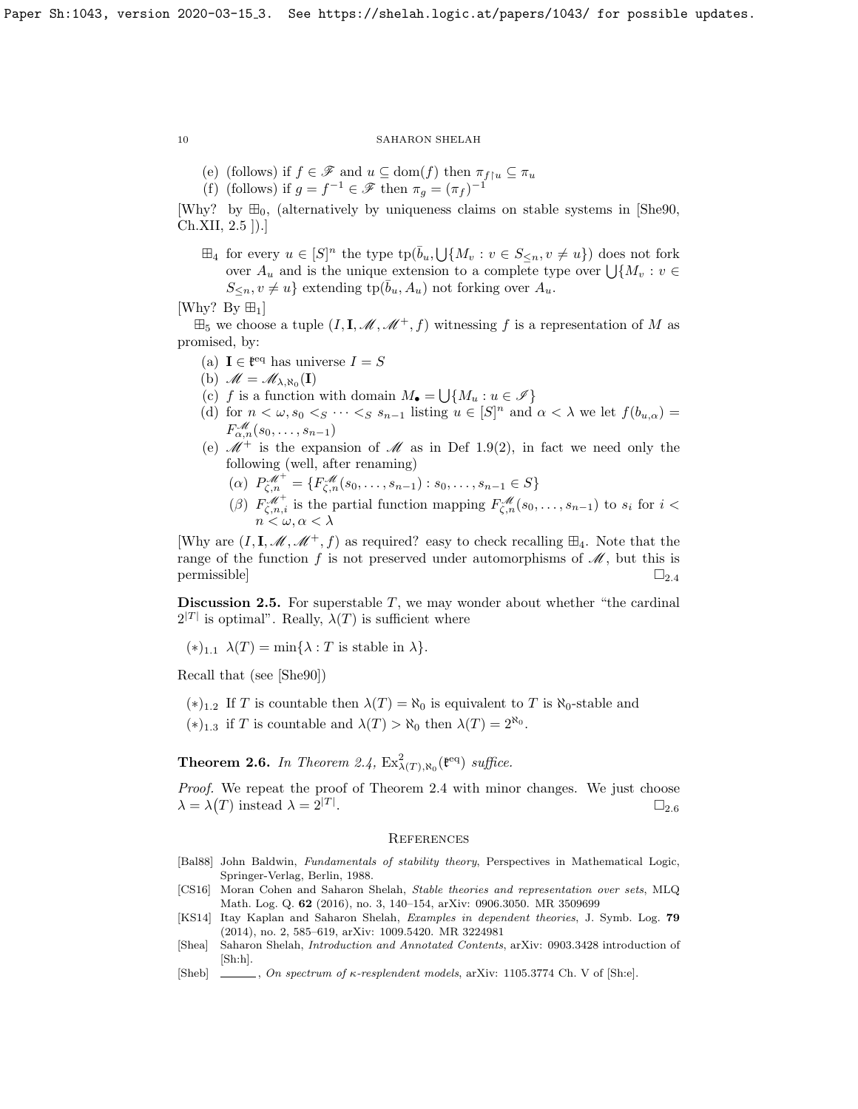- (e) (follows) if  $f \in \mathscr{F}$  and  $u \subseteq \text{dom}(f)$  then  $\pi_{f \upharpoonright u} \subseteq \pi_u$
- (f) (follows) if  $g = f^{-1} \in \mathscr{F}$  then  $\pi_g = (\pi_f)^{-1}$
- [Why? by  $\mathbb{H}_0$ , (alternatively by uniqueness claims on stable systems in [\[She90,](#page-10-1) Ch.XII, 2.5 ]).]
	- $\boxplus_4$  for every  $u \in [S]^n$  the type  $\text{tp}(\overline{b}_u, \bigcup \{M_v : v \in S_{\leq n}, v \neq u\})$  does not fork over  $A_u$  and is the unique extension to a complete type over  $\bigcup \{M_v : v \in$  $S_{\leq n}, v \neq u$  extending  $tp(\bar{b}_u, A_u)$  not forking over  $A_u$ .

[Why? By  $\boxplus_1$ ]

 $\mathbb{H}_5$  we choose a tuple  $(I, \mathbf{I}, \mathcal{M}, \mathcal{M}^+, f)$  witnessing f is a representation of M as promised, by:

- (a)  $I \in \mathfrak{k}^{eq}$  has universe  $I = S$
- (b)  $\mathscr{M} = \mathscr{M}_{\lambda, \aleph_0}(\mathbf{I})$
- (c) f is a function with domain  $M_{\bullet} = \bigcup \{M_u : u \in \mathscr{I}\}\$
- (d) for  $n < \omega, s_0 < s \cdots < s s_{n-1}$  listing  $u \in [S]^n$  and  $\alpha < \lambda$  we let  $f(b_{u,\alpha}) =$  $F_{\alpha,n}^{\mathscr{M}}(s_0,\ldots,s_{n-1})$
- (e)  $\mathcal{M}^+$  is the expansion of  $\mathcal M$  as in Def [1.9\(](#page-4-3)2), in fact we need only the following (well, after renaming)
	- ( $\alpha$ )  $P_{\zeta,n}^{\mathscr{M}^+} = \{F_{\zeta,n}^{\mathscr{M}}(s_0,\ldots,s_{n-1}): s_0,\ldots,s_{n-1} \in S\}$
	- (β)  $F_{\zeta,n,i}^{\mathscr{M}^+}$  is the partial function mapping  $F_{\zeta,n}^{\mathscr{M}}(s_0,\ldots,s_{n-1})$  to  $s_i$  for  $i <$  $n < \omega, \alpha < \lambda$

[Why are  $(I, I, \mathcal{M}, \mathcal{M}^+, f)$  as required? easy to check recalling  $\mathbb{H}_4$ . Note that the range of the function f is not preserved under automorphisms of  $\mathcal{M}$ , but this is permissible]  $\square_{2.4}$  $\square_{2.4}$  $\square_{2.4}$ 

**Discussion 2.5.** For superstable  $T$ , we may wonder about whether "the cardinal"  $2^{|T|}$  is optimal". Really,  $\lambda(T)$  is sufficient where

 $(*)_{1,1} \lambda(T) = \min\{\lambda : T \text{ is stable in } \lambda\}.$ 

Recall that (see [\[She90\]](#page-10-1))

(\*)<sub>1.2</sub> If T is countable then  $\lambda(T) = \aleph_0$  is equivalent to T is  $\aleph_0$ -stable and

(\*)<sub>1.3</sub> if T is countable and  $\lambda(T) > \aleph_0$  then  $\lambda(T) = 2^{\aleph_0}$ .

<span id="page-9-5"></span>**Theorem 2.6.** In Theorem [2.4,](#page-6-0)  $Ex^2_{\lambda(T),\aleph_0}$  ( $e^{eq}$ ) suffice.

Proof. We repeat the proof of Theorem [2.4](#page-6-0) with minor changes. We just choose  $\lambda = \lambda(T)$  instead  $\lambda = 2^{|T|}$ .  $\square_{2.6}$  $\square_{2.6}$  $\square_{2.6}$ 

# **REFERENCES**

- <span id="page-9-1"></span>[Bal88] John Baldwin, Fundamentals of stability theory, Perspectives in Mathematical Logic, Springer-Verlag, Berlin, 1988.
- <span id="page-9-3"></span>[CS16] Moran Cohen and Saharon Shelah, Stable theories and representation over sets, MLQ Math. Log. Q. 62 (2016), no. 3, 140–154, [arXiv: 0906.3050.](https://arxiv.org/abs/0906.3050) MR 3509699
- <span id="page-9-4"></span>[KS14] Itay Kaplan and Saharon Shelah, Examples in dependent theories, J. Symb. Log. 79 (2014), no. 2, 585–619, [arXiv: 1009.5420.](https://arxiv.org/abs/1009.5420) MR 3224981
- <span id="page-9-0"></span>[Shea] Saharon Shelah, Introduction and Annotated Contents, [arXiv: 0903.3428](https://arxiv.org/abs/0903.3428) introduction of [Sh:h].
- <span id="page-9-2"></span>[Sheb]  $\Box$ , On spectrum of  $\kappa$ -resplendent models, [arXiv: 1105.3774](https://arxiv.org/abs/1105.3774) Ch. V of [Sh:e].